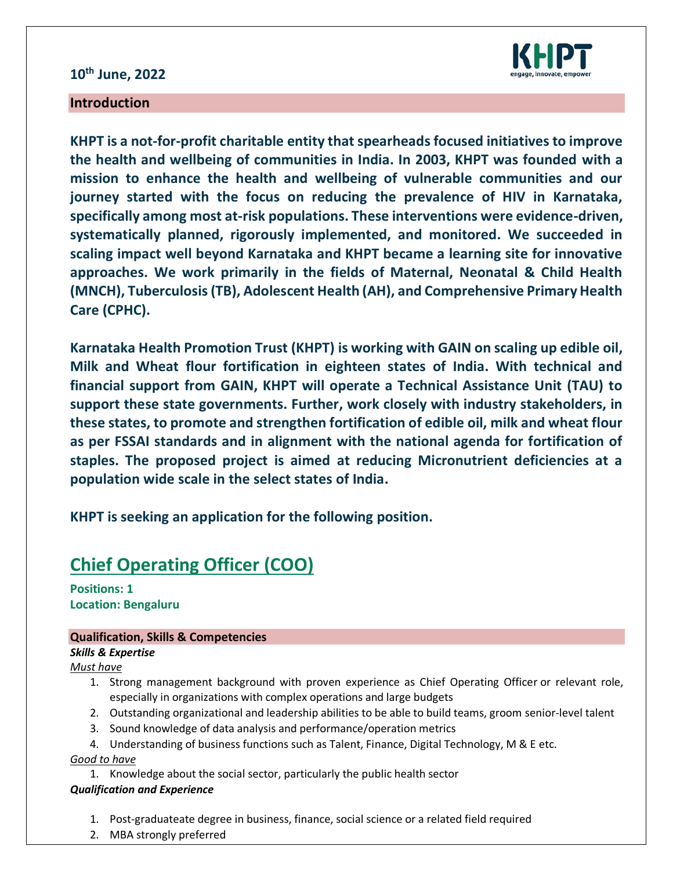## **10th June, 2022**



### **Introduction**

**KHPT is a not-for-profit charitable entity that spearheads focused initiatives to improve the health and wellbeing of communities in India. In 2003, KHPT was founded with a mission to enhance the health and wellbeing of vulnerable communities and our journey started with the focus on reducing the prevalence of HIV in Karnataka, specifically among most at-risk populations. These interventions were evidence-driven, systematically planned, rigorously implemented, and monitored. We succeeded in scaling impact well beyond Karnataka and KHPT became a learning site for innovative approaches. We work primarily in the fields of Maternal, Neonatal & Child Health (MNCH), Tuberculosis (TB), Adolescent Health (AH), and Comprehensive Primary Health Care (CPHC).**

**Karnataka Health Promotion Trust (KHPT) is working with GAIN on scaling up edible oil, Milk and Wheat flour fortification in eighteen states of India. With technical and financial support from GAIN, KHPT will operate a Technical Assistance Unit (TAU) to support these state governments. Further, work closely with industry stakeholders, in these states, to promote and strengthen fortification of edible oil, milk and wheat flour as per FSSAI standards and in alignment with the national agenda for fortification of staples. The proposed project is aimed at reducing Micronutrient deficiencies at a population wide scale in the select states of India.** 

**KHPT is seeking an application for the following position.**

# **Chief Operating Officer (COO)**

**Positions: 1 Location: Bengaluru**

#### **Qualification, Skills & Competencies**

*Skills & Expertise*

*Must have*

- 1. Strong management background with proven experience as Chief Operating Officer or relevant role, especially in organizations with complex operations and large budgets
- 2. Outstanding organizational and leadership abilities to be able to build teams, groom senior-level talent
- 3. Sound knowledge of data analysis and performance/operation metrics
- 4. Understanding of business functions such as Talent, Finance, Digital Technology, M & E etc.

*Good to have*

1. Knowledge about the social sector, particularly the public health sector *Qualification and Experience*

- 1. Post-graduateate degree in business, finance, social science or a related field required
- 2. MBA strongly preferred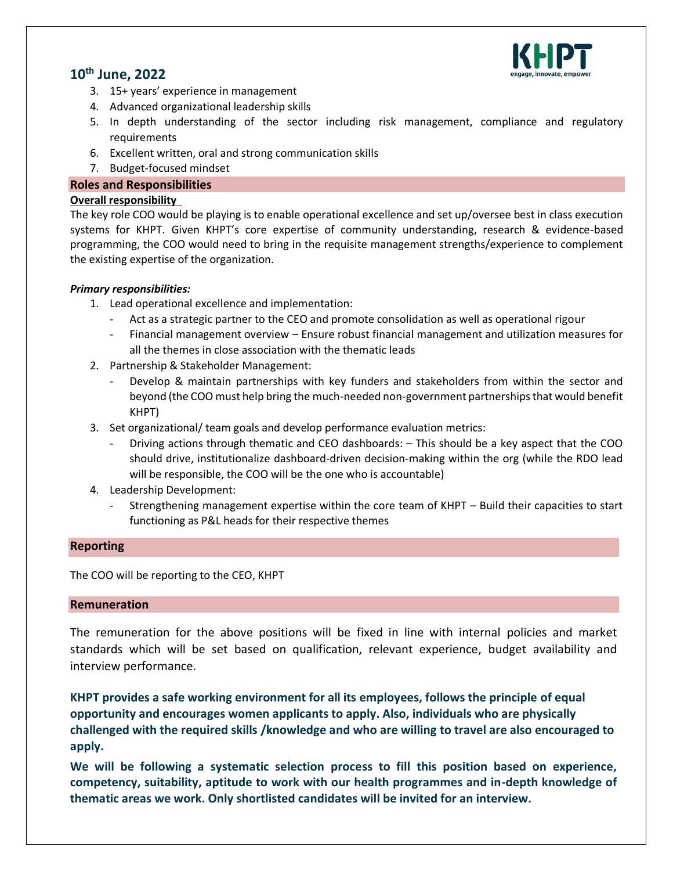

## **10th June, 2022**

- 3. 15+ years' experience in management
- 4. Advanced organizational leadership skills
- 5. In depth understanding of the sector including risk management, compliance and regulatory requirements
- 6. Excellent written, oral and strong communication skills
- 7. Budget-focused mindset

#### **Roles and Responsibilities**

#### **Overall responsibility**

The key role COO would be playing is to enable operational excellence and set up/oversee best in class execution systems for KHPT. Given KHPT's core expertise of community understanding, research & evidence-based programming, the COO would need to bring in the requisite management strengths/experience to complement the existing expertise of the organization.

#### *Primary responsibilities:*

- 1. Lead operational excellence and implementation:
	- Act as a strategic partner to the CEO and promote consolidation as well as operational rigour
	- Financial management overview Ensure robust financial management and utilization measures for all the themes in close association with the thematic leads
- 2. Partnership & Stakeholder Management:
	- Develop & maintain partnerships with key funders and stakeholders from within the sector and beyond (the COO must help bring the much-needed non-government partnerships that would benefit KHPT)
- 3. Set organizational/ team goals and develop performance evaluation metrics:
	- Driving actions through thematic and CEO dashboards: This should be a key aspect that the COO should drive, institutionalize dashboard-driven decision-making within the org (while the RDO lead will be responsible, the COO will be the one who is accountable)
- 4. Leadership Development:
	- Strengthening management expertise within the core team of KHPT Build their capacities to start functioning as P&L heads for their respective themes

#### **Reporting**

The COO will be reporting to the CEO, KHPT

#### **Remuneration**

The remuneration for the above positions will be fixed in line with internal policies and market standards which will be set based on qualification, relevant experience, budget availability and interview performance.

**KHPT provides a safe working environment for all its employees, follows the principle of equal opportunity and encourages women applicants to apply. Also, individuals who are physically challenged with the required skills /knowledge and who are willing to travel are also encouraged to apply.**

**We will be following a systematic selection process to fill this position based on experience, competency, suitability, aptitude to work with our health programmes and in-depth knowledge of thematic areas we work. Only shortlisted candidates will be invited for an interview.**